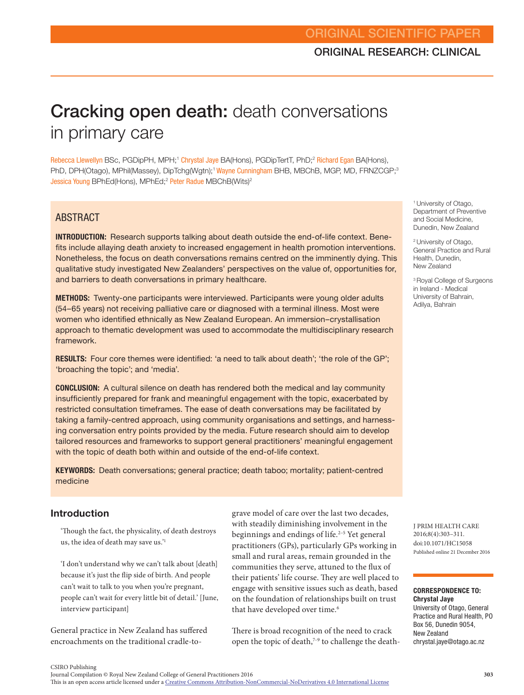# Cracking open death: death conversations in primary care

Rebecca Llewellyn BSc, PGDipPH, MPH;<sup>1</sup> Chrystal Jaye BA(Hons), PGDipTertT, PhD;<sup>2</sup> Richard Egan BA(Hons), PhD, DPH(Otago), MPhil(Massey), DipTchg(Wgtn);<sup>1</sup> Wayne Cunningham BHB, MBChB, MGP, MD, FRNZCGP;<sup>3</sup> Jessica Young BPhEd(Hons), MPhEd;<sup>2</sup> Peter Radue MBChB(Wits)<sup>2</sup>

# ABSTRACT

INTRODUCTION: Research supports talking about death outside the end-of-life context. Benefits include allaying death anxiety to increased engagement in health promotion interventions. Nonetheless, the focus on death conversations remains centred on the imminently dying. This qualitative study investigated New Zealanders' perspectives on the value of, opportunities for, and barriers to death conversations in primary healthcare.

METHODS: Twenty-one participants were interviewed. Participants were young older adults (54–65 years) not receiving palliative care or diagnosed with a terminal illness. Most were women who identified ethnically as New Zealand European. An immersion–crystallisation approach to thematic development was used to accommodate the multidisciplinary research framework.

RESULTS: Four core themes were identified: 'a need to talk about death'; 'the role of the GP'; 'broaching the topic'; and 'media'.

CONCLUSION: A cultural silence on death has rendered both the medical and lay community insufficiently prepared for frank and meaningful engagement with the topic, exacerbated by restricted consultation timeframes. The ease of death conversations may be facilitated by taking a family-centred approach, using community organisations and settings, and harnessing conversation entry points provided by the media. Future research should aim to develop tailored resources and frameworks to support general practitioners' meaningful engagement with the topic of death both within and outside of the end-of-life context.

KEYWORDS: Death conversations; general practice; death taboo; mortality; patient-centred medicine

## Introduction

'Though the fact, the physicality, of death destroys us, the idea of death may save us.'1

'I don't understand why we can't talk about [death] because it's just the flip side of birth. And people can't wait to talk to you when you're pregnant, people can't wait for every little bit of detail.' [June, interview participant]

General practice in New Zealand has suffered encroachments on the traditional cradle-tograve model of care over the last two decades, with steadily diminishing involvement in the beginnings and endings of life.<sup>2-5</sup> Yet general practitioners (GPs), particularly GPs working in small and rural areas, remain grounded in the communities they serve, attuned to the flux of their patients' life course. They are well placed to engage with sensitive issues such as death, based on the foundation of relationships built on trust that have developed over time.<sup>6</sup>

There is broad recognition of the need to crack open the topic of death,<sup>7-9</sup> to challenge the death-

<sup>1</sup> University of Otago, Department of Preventive and Social Medicine, Dunedin, New Zealand

2 University of Otago, General Practice and Rural Health, Dunedin, New Zealand

3 Royal College of Surgeons in Ireland - Medical University of Bahrain, Adilya, Bahrain

J PRIM HEALTH CARE 2016;8(4):303–311. doi:10.1071/HC15058 Published online 21 December 2016

CORRESPONDENCE TO: Chrystal Jaye University of Otago, General Practice and Rural Health, PO Box 56, Dunedin 9054, New Zealand chrystal.jaye@otago.ac.nz

CSIRO Publishing

Journal Compilation © Royal New Zealand College of General Practitioners 2016

This is an open access article licensed under a [Creative Commons Attribution-NonCommercial-NoDerivatives 4.0 International License](http://creativecommons.org/licenses/by-nc-nd/4.0/)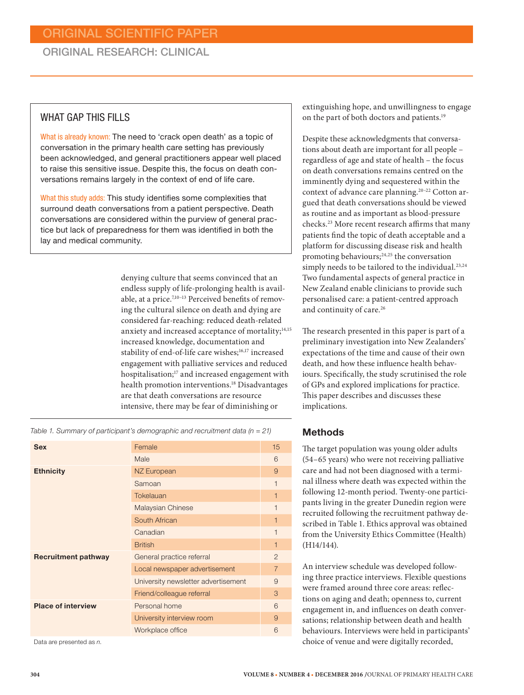ORIGINAL RESEARCH: CLINICAL

# WHAT GAP THIS FILLS

What is already known: The need to 'crack open death' as a topic of conversation in the primary health care setting has previously been acknowledged, and general practitioners appear well placed to raise this sensitive issue. Despite this, the focus on death conversations remains largely in the context of end of life care.

What this study adds: This study identifies some complexities that surround death conversations from a patient perspective. Death conversations are considered within the purview of general practice but lack of preparedness for them was identified in both the lay and medical community.

> denying culture that seems convinced that an endless supply of life-prolonging health is available, at a price.<sup>7,10-13</sup> Perceived benefits of removing the cultural silence on death and dying are considered far-reaching: reduced death-related anxiety and increased acceptance of mortality;<sup>14,15</sup> increased knowledge, documentation and stability of end-of-life care wishes;<sup>16,17</sup> increased engagement with palliative services and reduced hospitalisation;<sup>17</sup> and increased engagement with health promotion interventions.18 Disadvantages are that death conversations are resource intensive, there may be fear of diminishing or

Table 1. Summary of participant's demographic and recruitment data ( $n = 21$ )

| <b>Sex</b>                 | Female                              | 15             |
|----------------------------|-------------------------------------|----------------|
|                            | Male                                | 6              |
| <b>Ethnicity</b>           | NZ European                         | 9              |
|                            | Samoan                              | 1              |
|                            | Tokelauan                           | 1              |
|                            | <b>Malaysian Chinese</b>            | 1              |
|                            | South African                       | 1              |
|                            | Canadian                            | 1              |
|                            | <b>British</b>                      | $\mathbf{1}$   |
| <b>Recruitment pathway</b> | General practice referral           | $\overline{2}$ |
|                            | Local newspaper advertisement       | $\overline{7}$ |
|                            | University newsletter advertisement | 9              |
|                            | Friend/colleague referral           | 3              |
| <b>Place of interview</b>  | Personal home                       | 6              |
|                            | University interview room           | 9              |
|                            | Workplace office                    | 6              |

Data are presented as n.

extinguishing hope, and unwillingness to engage on the part of both doctors and patients.19

Despite these acknowledgments that conversations about death are important for all people – regardless of age and state of health – the focus on death conversations remains centred on the imminently dying and sequestered within the context of advance care planning.20–22 Cotton argued that death conversations should be viewed as routine and as important as blood-pressure checks.23 More recent research affirms that many patients find the topic of death acceptable and a platform for discussing disease risk and health promoting behaviours;<sup>24,25</sup> the conversation simply needs to be tailored to the individual.<sup>23,24</sup> Two fundamental aspects of general practice in New Zealand enable clinicians to provide such personalised care: a patient-centred approach and continuity of care.<sup>26</sup>

The research presented in this paper is part of a preliminary investigation into New Zealanders' expectations of the time and cause of their own death, and how these influence health behaviours. Specifically, the study scrutinised the role of GPs and explored implications for practice. This paper describes and discusses these implications.

# Methods

The target population was young older adults (54–65 years) who were not receiving palliative care and had not been diagnosed with a terminal illness where death was expected within the following 12-month period. Twenty-one participants living in the greater Dunedin region were recruited following the recruitment pathway described in Table 1. Ethics approval was obtained from the University Ethics Committee (Health) (H14/144).

An interview schedule was developed following three practice interviews. Flexible questions were framed around three core areas: reflections on aging and death; openness to, current engagement in, and influences on death conversations; relationship between death and health behaviours. Interviews were held in participants' choice of venue and were digitally recorded,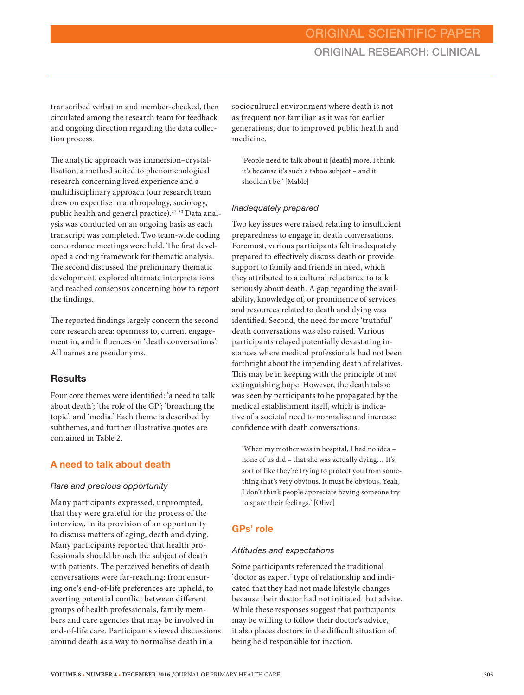transcribed verbatim and member-checked, then circulated among the research team for feedback and ongoing direction regarding the data collection process.

The analytic approach was immersion–crystallisation, a method suited to phenomenological research concerning lived experience and a multidisciplinary approach (our research team drew on expertise in anthropology, sociology, public health and general practice).<sup>27-30</sup> Data analysis was conducted on an ongoing basis as each transcript was completed. Two team-wide coding concordance meetings were held. The first developed a coding framework for thematic analysis. The second discussed the preliminary thematic development, explored alternate interpretations and reached consensus concerning how to report the findings.

The reported findings largely concern the second core research area: openness to, current engagement in, and influences on 'death conversations'. All names are pseudonyms.

# **Results**

Four core themes were identified: 'a need to talk about death'; 'the role of the GP'; 'broaching the topic'; and 'media.' Each theme is described by subthemes, and further illustrative quotes are contained in Table 2.

## A need to talk about death

#### Rare and precious opportunity

Many participants expressed, unprompted, that they were grateful for the process of the interview, in its provision of an opportunity to discuss matters of aging, death and dying. Many participants reported that health professionals should broach the subject of death with patients. The perceived benefits of death conversations were far-reaching: from ensuring one's end-of-life preferences are upheld, to averting potential conflict between different groups of health professionals, family members and care agencies that may be involved in end-of-life care. Participants viewed discussions around death as a way to normalise death in a

sociocultural environment where death is not as frequent nor familiar as it was for earlier generations, due to improved public health and medicine.

'People need to talk about it [death] more. I think it's because it's such a taboo subject – and it shouldn't be.' [Mable]

#### Inadequately prepared

Two key issues were raised relating to insufficient preparedness to engage in death conversations. Foremost, various participants felt inadequately prepared to effectively discuss death or provide support to family and friends in need, which they attributed to a cultural reluctance to talk seriously about death. A gap regarding the availability, knowledge of, or prominence of services and resources related to death and dying was identified. Second, the need for more 'truthful' death conversations was also raised. Various participants relayed potentially devastating instances where medical professionals had not been forthright about the impending death of relatives. This may be in keeping with the principle of not extinguishing hope. However, the death taboo was seen by participants to be propagated by the medical establishment itself, which is indicative of a societal need to normalise and increase confidence with death conversations.

'When my mother was in hospital, I had no idea – none of us did – that she was actually dying… It's sort of like they're trying to protect you from something that's very obvious. It must be obvious. Yeah, I don't think people appreciate having someone try to spare their feelings.' [Olive]

# GPs' role

#### Attitudes and expectations

Some participants referenced the traditional 'doctor as expert' type of relationship and indicated that they had not made lifestyle changes because their doctor had not initiated that advice. While these responses suggest that participants may be willing to follow their doctor's advice, it also places doctors in the difficult situation of being held responsible for inaction.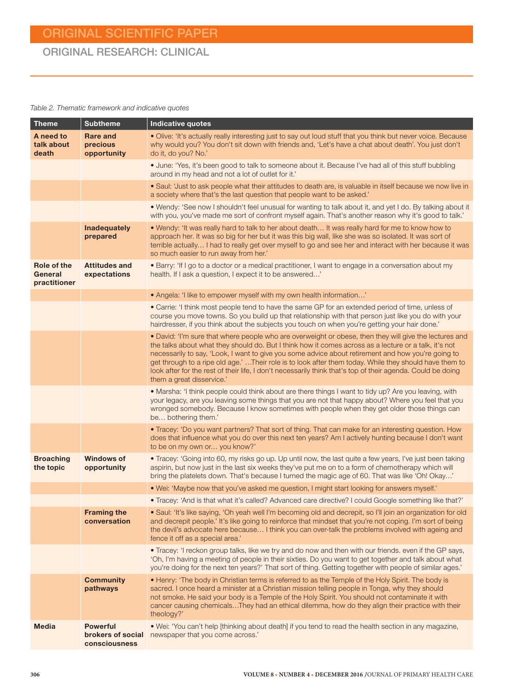ORIGINAL RESEARCH: CLINICAL

#### Table 2. Thematic framework and indicative quotes

| Theme                                  | <b>Subtheme</b>                                       | <b>Indicative quotes</b>                                                                                                                                                                                                                                                                                                                                                                                                                                                                                                                                                    |  |
|----------------------------------------|-------------------------------------------------------|-----------------------------------------------------------------------------------------------------------------------------------------------------------------------------------------------------------------------------------------------------------------------------------------------------------------------------------------------------------------------------------------------------------------------------------------------------------------------------------------------------------------------------------------------------------------------------|--|
| A need to<br>talk about<br>death       | <b>Rare and</b><br>precious<br>opportunity            | • Olive: 'It's actually really interesting just to say out loud stuff that you think but never voice. Because<br>why would you? You don't sit down with friends and, 'Let's have a chat about death'. You just don't<br>do it, do you? No.'                                                                                                                                                                                                                                                                                                                                 |  |
|                                        |                                                       | . June: 'Yes, it's been good to talk to someone about it. Because I've had all of this stuff bubbling<br>around in my head and not a lot of outlet for it.'                                                                                                                                                                                                                                                                                                                                                                                                                 |  |
|                                        |                                                       | • Saul: 'Just to ask people what their attitudes to death are, is valuable in itself because we now live in<br>a society where that's the last question that people want to be asked.'                                                                                                                                                                                                                                                                                                                                                                                      |  |
|                                        |                                                       | . Wendy: 'See now I shouldn't feel unusual for wanting to talk about it, and yet I do. By talking about it<br>with you, you've made me sort of confront myself again. That's another reason why it's good to talk.'                                                                                                                                                                                                                                                                                                                                                         |  |
|                                        | <b>Inadequately</b><br>prepared                       | . Wendy: 'It was really hard to talk to her about death It was really hard for me to know how to<br>approach her. It was so big for her but it was this big wall, like she was so isolated. It was sort of<br>terrible actually I had to really get over myself to go and see her and interact with her because it was<br>so much easier to run away from her.'                                                                                                                                                                                                             |  |
| Role of the<br>General<br>practitioner | <b>Attitudes and</b><br>expectations                  | • Barry: 'If I go to a doctor or a medical practitioner, I want to engage in a conversation about my<br>health. If I ask a question, I expect it to be answered'                                                                                                                                                                                                                                                                                                                                                                                                            |  |
|                                        |                                                       | • Angela: 'I like to empower myself with my own health information'                                                                                                                                                                                                                                                                                                                                                                                                                                                                                                         |  |
|                                        |                                                       | • Carrie: 'I think most people tend to have the same GP for an extended period of time, unless of<br>course you move towns. So you build up that relationship with that person just like you do with your<br>hairdresser, if you think about the subjects you touch on when you're getting your hair done.'                                                                                                                                                                                                                                                                 |  |
|                                        |                                                       | . David: 'I'm sure that where people who are overweight or obese, then they will give the lectures and<br>the talks about what they should do. But I think how it comes across as a lecture or a talk, it's not<br>necessarily to say, 'Look, I want to give you some advice about retirement and how you're going to<br>get through to a ripe old age.' Their role is to look after them today. While they should have them to<br>look after for the rest of their life, I don't necessarily think that's top of their agenda. Could be doing<br>them a great disservice.' |  |
|                                        |                                                       | . Marsha: 'I think people could think about are there things I want to tidy up? Are you leaving, with<br>your legacy, are you leaving some things that you are not that happy about? Where you feel that you<br>wronged somebody. Because I know sometimes with people when they get older those things can<br>be bothering them.'                                                                                                                                                                                                                                          |  |
|                                        |                                                       | • Tracey: 'Do you want partners? That sort of thing. That can make for an interesting question. How<br>does that influence what you do over this next ten years? Am I actively hunting because I don't want<br>to be on my own or you know?'                                                                                                                                                                                                                                                                                                                                |  |
| <b>Broaching</b><br>the topic          | <b>Windows of</b><br>opportunity                      | . Tracey: 'Going into 60, my risks go up. Up until now, the last quite a few years, I've just been taking<br>aspirin, but now just in the last six weeks they've put me on to a form of chemotherapy which will<br>bring the platelets down. That's because I turned the magic age of 60. That was like 'Oh! Okay'                                                                                                                                                                                                                                                          |  |
|                                        |                                                       | . Wei: 'Maybe now that you've asked me question, I might start looking for answers myself.'                                                                                                                                                                                                                                                                                                                                                                                                                                                                                 |  |
|                                        |                                                       | • Tracey: 'And is that what it's called? Advanced care directive? I could Google something like that?'                                                                                                                                                                                                                                                                                                                                                                                                                                                                      |  |
|                                        | <b>Framing the</b><br>conversation                    | · Saul: 'It's like saying, 'Oh yeah well I'm becoming old and decrepit, so I'll join an organization for old<br>and decrepit people.' It's like going to reinforce that mindset that you're not coping. I'm sort of being<br>the devil's advocate here because I think you can over-talk the problems involved with ageing and<br>fence it off as a special area.'                                                                                                                                                                                                          |  |
|                                        |                                                       | • Tracey: 'I reckon group talks, like we try and do now and then with our friends, even if the GP says,<br>'Oh, I'm having a meeting of people in their sixties. Do you want to get together and talk about what<br>you're doing for the next ten years?' That sort of thing. Getting together with people of similar ages.'                                                                                                                                                                                                                                                |  |
|                                        | <b>Community</b><br>pathways                          | • Henry: 'The body in Christian terms is referred to as the Temple of the Holy Spirit. The body is<br>sacred. I once heard a minister at a Christian mission telling people in Tonga, why they should<br>not smoke. He said your body is a Temple of the Holy Spirit. You should not contaminate it with<br>cancer causing chemicalsThey had an ethical dilemma, how do they align their practice with their<br>theology?'                                                                                                                                                  |  |
| <b>Media</b>                           | <b>Powerful</b><br>brokers of social<br>consciousness | . Wei: 'You can't help [thinking about death] if you tend to read the health section in any magazine,<br>newspaper that you come across.'                                                                                                                                                                                                                                                                                                                                                                                                                                   |  |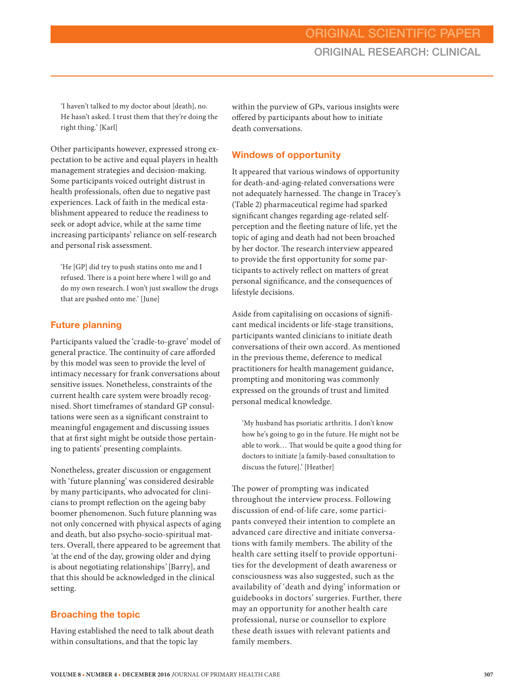'I haven't talked to my doctor about [death], no. He hasn't asked. I trust them that they're doing the right thing.' [Karl]

Other participants however, expressed strong expectation to be active and equal players in health management strategies and decision-making. Some participants voiced outright distrust in health professionals, often due to negative past experiences. Lack of faith in the medical establishment appeared to reduce the readiness to seek or adopt advice, while at the same time increasing participants' reliance on self-research and personal risk assessment.

'He [GP] did try to push statins onto me and I refused. There is a point here where I will go and do my own research. I won't just swallow the drugs that are pushed onto me.' [June]

# Future planning

Participants valued the 'cradle-to-grave' model of general practice. The continuity of care afforded by this model was seen to provide the level of intimacy necessary for frank conversations about sensitive issues. Nonetheless, constraints of the current health care system were broadly recognised. Short timeframes of standard GP consultations were seen as a significant constraint to meaningful engagement and discussing issues that at first sight might be outside those pertaining to patients' presenting complaints.

Nonetheless, greater discussion or engagement with 'future planning' was considered desirable by many participants, who advocated for clinicians to prompt reflection on the ageing baby boomer phenomenon. Such future planning was not only concerned with physical aspects of aging and death, but also psycho-socio-spiritual matters. Overall, there appeared to be agreement that *'*at the end of the day, growing older and dying is about negotiating relationships*'* [Barry], and that this should be acknowledged in the clinical setting.

## Broaching the topic

Having established the need to talk about death within consultations, and that the topic lay

within the purview of GPs, various insights were offered by participants about how to initiate death conversations.

## Windows of opportunity

It appeared that various windows of opportunity for death-and-aging-related conversations were not adequately harnessed. The change in Tracey's (Table 2) pharmaceutical regime had sparked significant changes regarding age-related selfperception and the fleeting nature of life, yet the topic of aging and death had not been broached by her doctor. The research interview appeared to provide the first opportunity for some participants to actively reflect on matters of great personal significance, and the consequences of lifestyle decisions.

Aside from capitalising on occasions of significant medical incidents or life-stage transitions, participants wanted clinicians to initiate death conversations of their own accord. As mentioned in the previous theme, deference to medical practitioners for health management guidance, prompting and monitoring was commonly expressed on the grounds of trust and limited personal medical knowledge.

'My husband has psoriatic arthritis. I don't know how he's going to go in the future. He might not be able to work… That would be quite a good thing for doctors to initiate [a family-based consultation to discuss the future].' [Heather]

The power of prompting was indicated throughout the interview process. Following discussion of end-of-life care, some participants conveyed their intention to complete an advanced care directive and initiate conversations with family members. The ability of the health care setting itself to provide opportunities for the development of death awareness or consciousness was also suggested, such as the availability of 'death and dying' information or guidebooks in doctors' surgeries. Further, there may an opportunity for another health care professional, nurse or counsellor to explore these death issues with relevant patients and family members.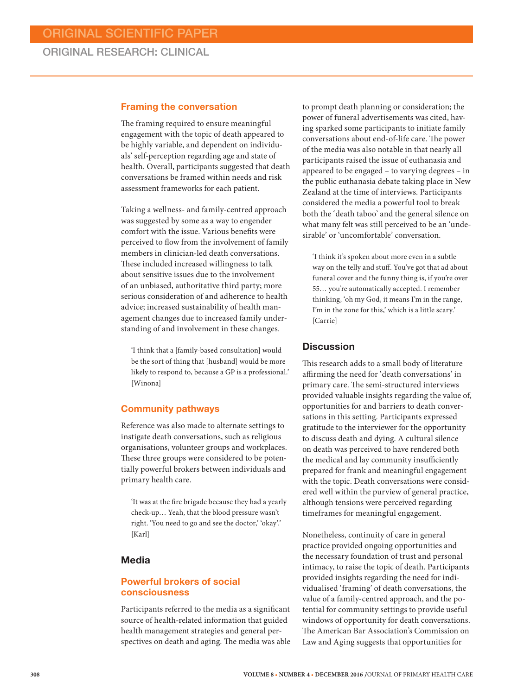#### Framing the conversation

The framing required to ensure meaningful engagement with the topic of death appeared to be highly variable, and dependent on individuals' self-perception regarding age and state of health. Overall, participants suggested that death conversations be framed within needs and risk assessment frameworks for each patient.

Taking a wellness- and family-centred approach was suggested by some as a way to engender comfort with the issue. Various benefits were perceived to flow from the involvement of family members in clinician-led death conversations. These included increased willingness to talk about sensitive issues due to the involvement of an unbiased, authoritative third party; more serious consideration of and adherence to health advice; increased sustainability of health management changes due to increased family understanding of and involvement in these changes.

'I think that a [family-based consultation] would be the sort of thing that [husband] would be more likely to respond to, because a GP is a professional.' [Winona]

#### Community pathways

Reference was also made to alternate settings to instigate death conversations, such as religious organisations, volunteer groups and workplaces. These three groups were considered to be potentially powerful brokers between individuals and primary health care.

'It was at the fire brigade because they had a yearly check-up… Yeah, that the blood pressure wasn't right. 'You need to go and see the doctor,' 'okay'.' [Karl]

#### Media

## Powerful brokers of social consciousness

Participants referred to the media as a significant source of health-related information that guided health management strategies and general perspectives on death and aging. The media was able to prompt death planning or consideration; the power of funeral advertisements was cited, having sparked some participants to initiate family conversations about end-of-life care. The power of the media was also notable in that nearly all participants raised the issue of euthanasia and appeared to be engaged – to varying degrees – in the public euthanasia debate taking place in New Zealand at the time of interviews. Participants considered the media a powerful tool to break both the 'death taboo' and the general silence on what many felt was still perceived to be an 'undesirable' or 'uncomfortable' conversation.

'I think it's spoken about more even in a subtle way on the telly and stuff. You've got that ad about funeral cover and the funny thing is, if you're over 55… you're automatically accepted. I remember thinking, 'oh my God, it means I'm in the range, I'm in the zone for this,' which is a little scary.' [Carrie]

#### **Discussion**

This research adds to a small body of literature affirming the need for 'death conversations' in primary care. The semi-structured interviews provided valuable insights regarding the value of, opportunities for and barriers to death conversations in this setting. Participants expressed gratitude to the interviewer for the opportunity to discuss death and dying. A cultural silence on death was perceived to have rendered both the medical and lay community insufficiently prepared for frank and meaningful engagement with the topic. Death conversations were considered well within the purview of general practice, although tensions were perceived regarding timeframes for meaningful engagement.

Nonetheless, continuity of care in general practice provided ongoing opportunities and the necessary foundation of trust and personal intimacy, to raise the topic of death. Participants provided insights regarding the need for individualised 'framing' of death conversations, the value of a family-centred approach, and the potential for community settings to provide useful windows of opportunity for death conversations. The American Bar Association's Commission on Law and Aging suggests that opportunities for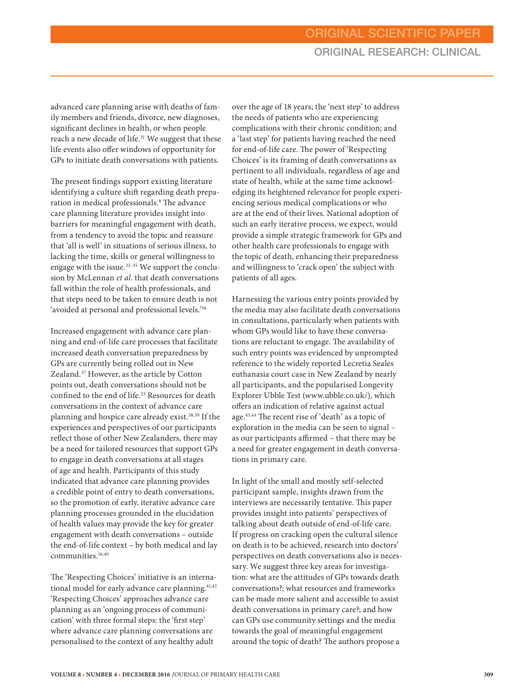advanced care planning arise with deaths of family members and friends, divorce, new diagnoses, significant declines in health, or when people reach a new decade of life.<sup>31</sup> We suggest that these life events also offer windows of opportunity for GPs to initiate death conversations with patients.

The present findings support existing literature identifying a culture shift regarding death preparation in medical professionals.8 The advance care planning literature provides insight into barriers for meaningful engagement with death, from a tendency to avoid the topic and reassure that 'all is well' in situations of serious illness, to lacking the time, skills or general willingness to engage with the issue.<sup>32-35</sup> We support the conclusion by McLennan *et al*. that death conversations fall within the role of health professionals, and that steps need to be taken to ensure death is not 'avoided at personal and professional levels.'36

Increased engagement with advance care planning and end-of-life care processes that facilitate increased death conversation preparedness by GPs are currently being rolled out in New Zealand.37 However, as the article by Cotton points out, death conversations should not be confined to the end of life.<sup>23</sup> Resources for death conversations in the context of advance care planning and hospice care already exist.38,39 If the experiences and perspectives of our participants reflect those of other New Zealanders, there may be a need for tailored resources that support GPs to engage in death conversations at all stages of age and health. Participants of this study indicated that advance care planning provides a credible point of entry to death conversations, so the promotion of early, iterative advance care planning processes grounded in the elucidation of health values may provide the key for greater engagement with death conversations – outside the end-of-life context – by both medical and lay communities.16,40

The 'Respecting Choices' initiative is an international model for early advance care planning.<sup>41,42</sup> 'Respecting Choices' approaches advance care planning as an 'ongoing process of communication' with three formal steps: the 'first step' where advance care planning conversations are personalised to the context of any healthy adult

over the age of 18 years; the 'next step' to address the needs of patients who are experiencing complications with their chronic condition; and a 'last step' for patients having reached the need for end-of-life care. The power of 'Respecting Choices' is its framing of death conversations as pertinent to all individuals, regardless of age and state of health, while at the same time acknowledging its heightened relevance for people experiencing serious medical complications or who are at the end of their lives. National adoption of such an early iterative process, we expect, would provide a simple strategic framework for GPs and other health care professionals to engage with the topic of death, enhancing their preparedness and willingness to 'crack open' the subject with patients of all ages.

Harnessing the various entry points provided by the media may also facilitate death conversations in consultations, particularly when patients with whom GPs would like to have these conversations are reluctant to engage. The availability of such entry points was evidenced by unprompted reference to the widely reported Lecretia Seales euthanasia court case in New Zealand by nearly all participants, and the popularised Longevity Explorer Ubble Test (www.ubble.co.uk/), which offers an indication of relative against actual age.43,44 The recent rise of 'death' as a topic of exploration in the media can be seen to signal – as our participants affirmed – that there may be a need for greater engagement in death conversations in primary care.

In light of the small and mostly self-selected participant sample, insights drawn from the interviews are necessarily tentative. This paper provides insight into patients' perspectives of talking about death outside of end-of-life care. If progress on cracking open the cultural silence on death is to be achieved, research into doctors' perspectives on death conversations also is necessary. We suggest three key areas for investigation: what are the attitudes of GPs towards death conversations?; what resources and frameworks can be made more salient and accessible to assist death conversations in primary care?; and how can GPs use community settings and the media towards the goal of meaningful engagement around the topic of death? The authors propose a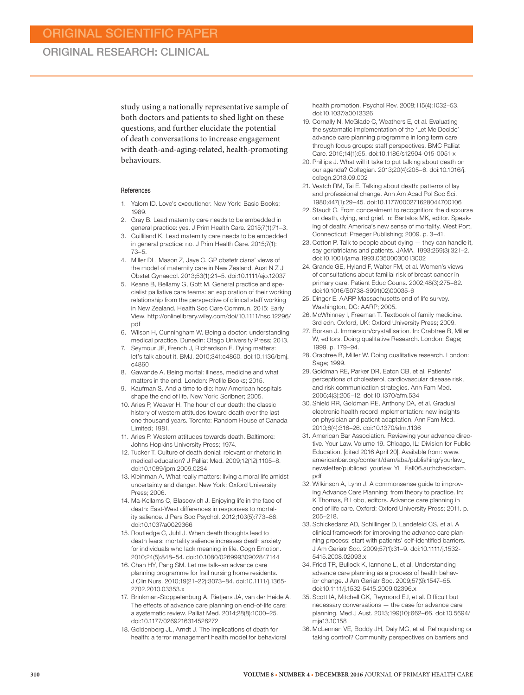ORIGINAL RESEARCH: CLINICAL

study using a nationally representative sample of both doctors and patients to shed light on these questions, and further elucidate the potential of death conversations to increase engagement with death-and-aging-related, health-promoting behaviours.

#### References

- 1. Yalom ID. Love's executioner. New York: Basic Books; 1989.
- 2. Gray B. Lead maternity care needs to be embedded in general practice: yes. J Prim Health Care. 2015;7(1):71–3.
- 3. Guilliland K. Lead maternity care needs to be embedded in general practice: no. J Prim Health Care. 2015;7(1): 73–5.
- 4. Miller DL, Mason Z, Jaye C. GP obstetricians' views of the model of maternity care in New Zealand. Aust N Z J Obstet Gynaecol. 2013;53(1):21–5. doi:10.1111/ajo.12037
- 5. Keane B, Bellamy G, Gott M. General practice and specialist palliative care teams: an exploration of their working relationship from the perspective of clinical staff working in New Zealand. Health Soc Care Commun. 2015: Early View. http://onlinelibrary.wiley.com/doi/10.1111/hsc.12296/ pdf
- 6. Wilson H, Cunningham W. Being a doctor: understanding medical practice. Dunedin: Otago University Press; 2013.
- 7. Seymour JE, French J, Richardson E. Dying matters: let's talk about it. BMJ. 2010;341:c4860. doi:10.1136/bmj. c4860
- 8. Gawande A. Being mortal: illness, medicine and what matters in the end. London: Profile Books: 2015.
- 9. Kaufman S. And a time to die: how American hospitals shape the end of life. New York: Scribner; 2005.
- 10. Aries P, Weaver H. The hour of our death: the classic history of western attitudes toward death over the last one thousand years. Toronto: Random House of Canada Limited; 1981.
- 11. Aries P. Western attitudes towards death. Baltimore: Johns Hopkins University Press; 1974.
- 12. Tucker T. Culture of death denial: relevant or rhetoric in medical education? J Palliat Med. 2009;12(12):1105–8. doi:10.1089/jpm.2009.0234
- 13. Kleinman A. What really matters: living a moral life amidst uncertainty and danger. New York: Oxford University Press; 2006.
- 14. Ma-Kellams C, Blascovich J. Enjoying life in the face of death: East-West differences in responses to mortality salience. J Pers Soc Psychol. 2012;103(5):773–86. doi:10.1037/a0029366
- 15. Routledge C, Juhl J. When death thoughts lead to death fears: mortality salience increases death anxiety for individuals who lack meaning in life. Cogn Emotion. 2010;24(5):848–54. doi:10.1080/02699930902847144
- 16. Chan HY, Pang SM. Let me talk–an advance care planning programme for frail nursing home residents. J Clin Nurs. 2010;19(21–22):3073–84. doi:10.1111/j.1365- 2702.2010.03353.x
- 17. Brinkman-Stoppelenburg A, Rietjens JA, van der Heide A. The effects of advance care planning on end-of-life care: a systematic review. Palliat Med. 2014;28(8):1000–25. doi:10.1177/0269216314526272
- 18. Goldenberg JL, Arndt J. The implications of death for health: a terror management health model for behavioral

health promotion. Psychol Rev. 2008;115(4):1032–53. doi:10.1037/a0013326

- 19. Cornally N, McGlade C, Weathers E, et al. Evaluating the systematic implementation of the 'Let Me Decide' advance care planning programme in long term care through focus groups: staff perspectives. BMC Palliat Care. 2015;14(1):55. doi:10.1186/s12904-015-0051-x
- 20. Phillips J. What will it take to put talking about death on our agenda? Collegian. 2013;20(4):205–6. doi:10.1016/j. colegn.2013.09.002
- 21. Veatch RM, Tai E. Talking about death: patterns of lay and professional change. Ann Am Acad Pol Soc Sci. 1980;447(1):29–45. doi:10.1177/000271628044700106
- 22. Staudt C. From concealment to recognition: the discourse on death, dying, and grief. In: Bartalos MK, editor. Speaking of death: America's new sense of mortality. West Port, Connecticut: Praeger Publishing; 2009. p. 3–41.
- 23. Cotton P. Talk to people about dying they can handle it, say geriatricians and patients. JAMA. 1993;269(3):321–2. doi:10.1001/jama.1993.03500030013002
- 24. Grande GE, Hyland F, Walter FM, et al. Women's views of consultations about familial risk of breast cancer in primary care. Patient Educ Couns. 2002;48(3):275–82. doi:10.1016/S0738-3991(02)00035-6
- 25. Dinger E. AARP Massachusetts end of life survey. Washington, DC: AARP; 2005.
- 26. McWhinney I, Freeman T. Textbook of family medicine. 3rd edn. Oxford, UK: Oxford University Press; 2009.
- 27. Borkan J. Immersion/crystallisation. In: Crabtree B, Miller W, editors. Doing qualitative Research. London: Sage; 1999. p. 179–94.
- 28. Crabtree B, Miller W. Doing qualitative research. London: Sage; 1999.
- 29. Goldman RE, Parker DR, Eaton CB, et al. Patients' perceptions of cholesterol, cardiovascular disease risk, and risk communication strategies. Ann Fam Med. 2006;4(3):205–12. doi:10.1370/afm.534
- 30. Shield RR, Goldman RE, Anthony DA, et al. Gradual electronic health record implementation: new insights on physician and patient adaptation. Ann Fam Med. 2010;8(4):316–26. doi:10.1370/afm.1136
- 31. American Bar Association. Reviewing your advance directive. Your Law. Volume 19. Chicago, IL: Division for Public Education. [cited 2016 April 20]. Available from: www. americanbar.org/content/dam/aba/publishing/yourlaw\_ newsletter/publiced\_yourlaw\_YL\_Fall06.authcheckdam. pdf
- 32. Wilkinson A, Lynn J. A commonsense guide to improving Advance Care Planning: from theory to practice. In: K Thomas, B Lobo, editors. Advance care planning in end of life care. Oxford: Oxford University Press; 2011. p. 205–218.
- 33. Schickedanz AD, Schillinger D, Landefeld CS, et al. A clinical framework for improving the advance care planning process: start with patients' self-identified barriers. J Am Geriatr Soc. 2009;57(1):31–9. doi:10.1111/j.1532- 5415.2008.02093.x
- 34. Fried TR, Bullock K, Iannone L, et al. Understanding advance care planning as a process of health behavior change. J Am Geriatr Soc. 2009;57(9):1547–55. doi:10.1111/j.1532-5415.2009.02396.x
- 35. Scott IA, Mitchell GK, Reymond EJ, et al. Difficult but necessary conversations — the case for advance care planning. Med J Aust. 2013;199(10):662–66. doi:10.5694/ mja13.10158
- 36. McLennan VE, Boddy JH, Daly MG, et al. Relinquishing or taking control? Community perspectives on barriers and